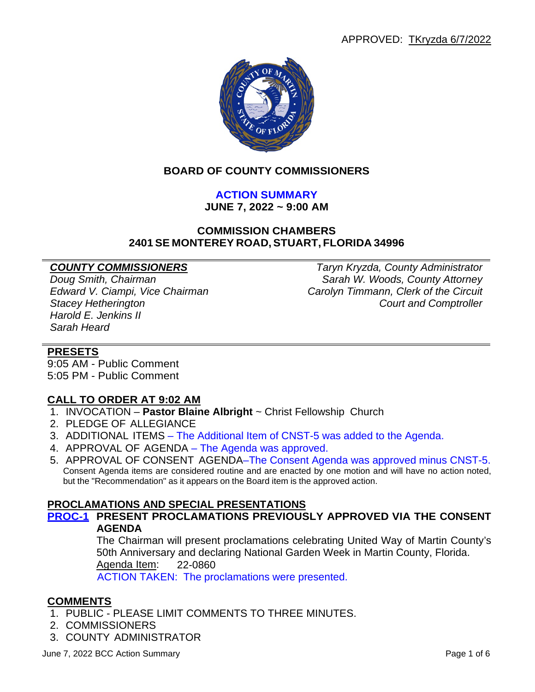

### **BOARD OF COUNTY COMMISSIONERS**

## **ACTION SUMMARY**

**JUNE 7, 2022 ~ 9:00 AM**

#### **COMMISSION CHAMBERS 2401 SE MONTEREY ROAD, STUART, FLORIDA 34996**

*Harold E. Jenkins II Sarah Heard*

*COUNTY COMMISSIONERS Taryn Kryzda, County Administrator Doug Smith, Chairman Sarah W. Woods, County Attorney Edward V. Ciampi, Vice Chairman Carolyn Timmann, Clerk of the Circuit* **Court and Comptroller** 

#### **PRESETS**

9:05 AM - Public Comment 5:05 PM - Public Comment

#### **CALL TO ORDER AT 9:02 AM**

- 1. INVOCATION **Pastor Blaine Albright** ~ Christ Fellowship Church
- 2. PLEDGE OF ALLEGIANCE
- 3. ADDITIONAL ITEMS The Additional Item of CNST-5 was added to the Agenda.
- 4. APPROVAL OF AGENDA The Agenda was approved.
- 5. APPROVAL OF CONSENT AGENDA–The Consent Agenda was approved minus CNST-5. Consent Agenda items are considered routine and are enacted by one motion and will have no action noted, but the "Recommendation" as it appears on the Board item is the approved action.

#### **PROCLAMATIONS AND SPECIAL PRESENTATIONS**

**PROC-1 PRESENT PROCLAMATIONS PREVIOUSLY APPROVED VIA THE CONSENT AGENDA**

> The Chairman will present proclamations celebrating United Way of Martin County's 50th Anniversary and declaring National Garden Week in Martin County, Florida. Agenda Item: 22-0860

ACTION TAKEN: The proclamations were presented.

#### **COMMENTS**

- 1. PUBLIC PLEASE LIMIT COMMENTS TO THREE MINUTES.
- 2. COMMISSIONERS
- 3. COUNTY ADMINISTRATOR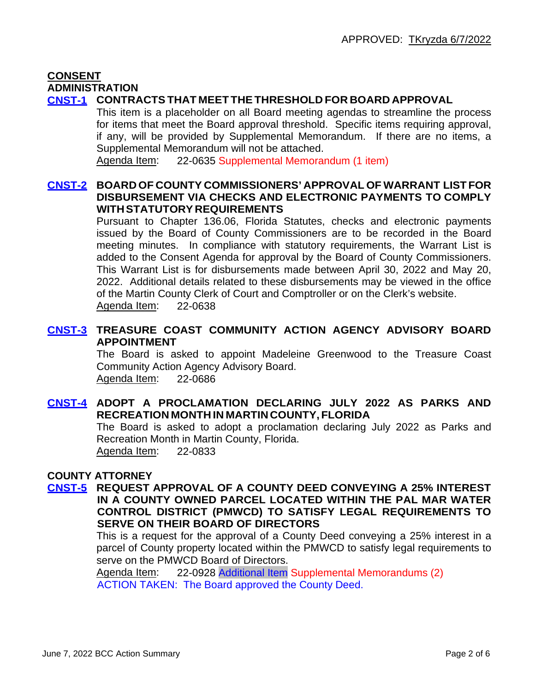#### **CONSENT ADMINISTRATION**

### **CNST-1 CONTRACTSTHAT MEET THETHRESHOLD FOR BOARD APPROVAL**

This item is a placeholder on all Board meeting agendas to streamline the process for items that meet the Board approval threshold. Specific items requiring approval, if any, will be provided by Supplemental Memorandum. If there are no items, a Supplemental Memorandum will not be attached.

Agenda Item: 22-0635 Supplemental Memorandum (1 item)

#### **CNST-2 BOARD OF COUNTY COMMISSIONERS' APPROVAL OF WARRANT LIST FOR DISBURSEMENT VIA CHECKS AND ELECTRONIC PAYMENTS TO COMPLY WITHSTATUTORY REQUIREMENTS**

Pursuant to Chapter 136.06, Florida Statutes, checks and electronic payments issued by the Board of County Commissioners are to be recorded in the Board meeting minutes. In compliance with statutory requirements, the Warrant List is added to the Consent Agenda for approval by the Board of County Commissioners. This Warrant List is for disbursements made between April 30, 2022 and May 20, 2022. Additional details related to these disbursements may be viewed in the office of the Martin County Clerk of Court and Comptroller or on the Clerk's website. Agenda Item: 22-0638

### **CNST-3 TREASURE COAST COMMUNITY ACTION AGENCY ADVISORY BOARD APPOINTMENT**

The Board is asked to appoint Madeleine Greenwood to the Treasure Coast Community Action Agency Advisory Board. Agenda Item: 22-0686

### **CNST-4 ADOPT A PROCLAMATION DECLARING JULY 2022 AS PARKS AND RECREATION MONTH IN MARTIN COUNTY, FLORIDA**

The Board is asked to adopt a proclamation declaring July 2022 as Parks and Recreation Month in Martin County, Florida. Agenda Item: 22-0833

# **COUNTY ATTORNEY**

#### **CNST-5 REQUEST APPROVAL OF A COUNTY DEED CONVEYING A 25% INTEREST IN A COUNTY OWNED PARCEL LOCATED WITHIN THE PAL MAR WATER CONTROL DISTRICT (PMWCD) TO SATISFY LEGAL REQUIREMENTS TO SERVE ON THEIR BOARD OF DIRECTORS**

This is a request for the approval of a County Deed conveying a 25% interest in a parcel of County property located within the PMWCD to satisfy legal requirements to serve on the PMWCD Board of Directors.

Agenda Item: 22-0928 Additional Item Supplemental Memorandums (2) ACTION TAKEN: The Board approved the County Deed.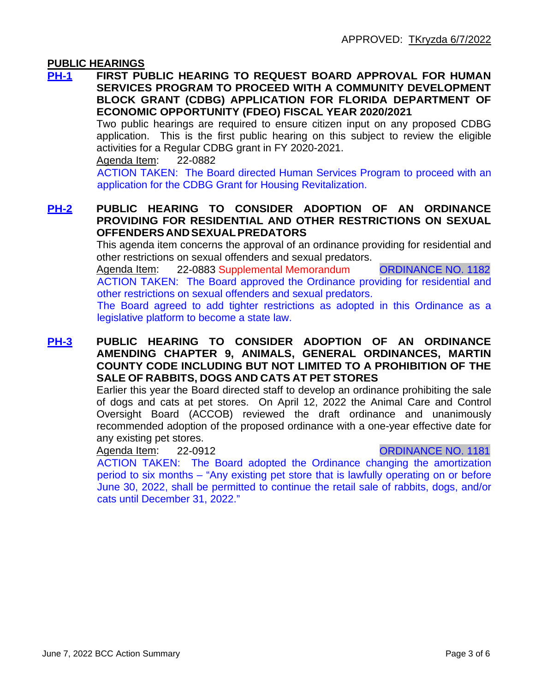#### **PUBLIC HEARINGS**

**PH-1 FIRST PUBLIC HEARING TO REQUEST BOARD APPROVAL FOR HUMAN SERVICES PROGRAM TO PROCEED WITH A COMMUNITY DEVELOPMENT BLOCK GRANT (CDBG) APPLICATION FOR FLORIDA DEPARTMENT OF ECONOMIC OPPORTUNITY (FDEO) FISCAL YEAR 2020/2021**

Two public hearings are required to ensure citizen input on any proposed CDBG application. This is the first public hearing on this subject to review the eligible activities for a Regular CDBG grant in FY 2020-2021.

Agenda Item: 22-0882

ACTION TAKEN: The Board directed Human Services Program to proceed with an application for the CDBG Grant for Housing Revitalization.

#### **PH-2 PUBLIC HEARING TO CONSIDER ADOPTION OF AN ORDINANCE PROVIDING FOR RESIDENTIAL AND OTHER RESTRICTIONS ON SEXUAL OFFENDERS ANDSEXUALPREDATORS**

This agenda item concerns the approval of an ordinance providing for residential and other restrictions on sexual offenders and sexual predators.

Agenda Item: 22-0883 Supplemental Memorandum CRDINANCE NO. 1182 ACTION TAKEN: The Board approved the Ordinance providing for residential and other restrictions on sexual offenders and sexual predators.

The Board agreed to add tighter restrictions as adopted in this Ordinance as a legislative platform to become a state law.

#### **PH-3 PUBLIC HEARING TO CONSIDER ADOPTION OF AN ORDINANCE AMENDING CHAPTER 9, ANIMALS, GENERAL ORDINANCES, MARTIN COUNTY CODE INCLUDING BUT NOT LIMITED TO A PROHIBITION OF THE SALE OF RABBITS, DOGS AND CATS AT PET STORES**

Earlier this year the Board directed staff to develop an ordinance prohibiting the sale of dogs and cats at pet stores. On April 12, 2022 the Animal Care and Control Oversight Board (ACCOB) reviewed the draft ordinance and unanimously recommended adoption of the proposed ordinance with a one-year effective date for any existing pet stores.

#### Agenda Item: 22-0912 CRDINANCE NO. 1181

ACTION TAKEN: The Board adopted the Ordinance changing the amortization period to six months – "Any existing pet store that is lawfully operating on or before June 30, 2022, shall be permitted to continue the retail sale of rabbits, dogs, and/or cats until December 31, 2022."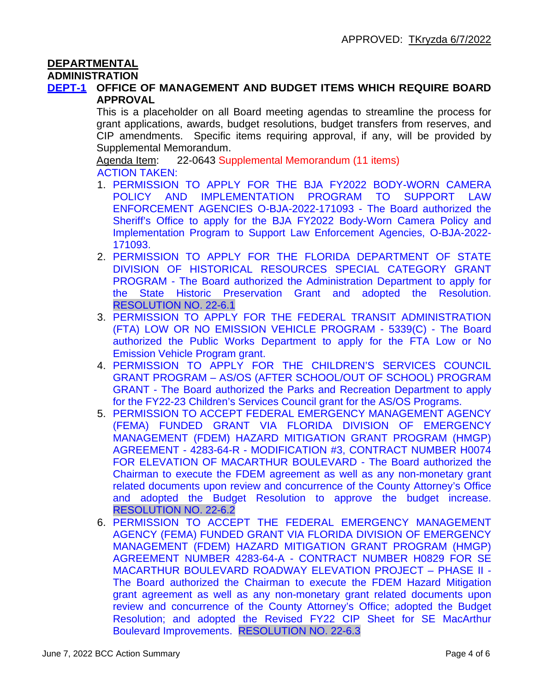#### **DEPARTMENTAL**

#### **ADMINISTRATION**

#### **DEPT-1 OFFICE OF MANAGEMENT AND BUDGET ITEMS WHICH REQUIRE BOARD APPROVAL**

This is a placeholder on all Board meeting agendas to streamline the process for grant applications, awards, budget resolutions, budget transfers from reserves, and CIP amendments. Specific items requiring approval, if any, will be provided by Supplemental Memorandum.

Agenda Item: 22-0643 Supplemental Memorandum (11 items) ACTION TAKEN:

- 1. PERMISSION TO APPLY FOR THE BJA FY2022 BODY-WORN CAMERA POLICY AND IMPLEMENTATION PROGRAM TO SUPPORT LAW ENFORCEMENT AGENCIES O-BJA-2022-171093 - The Board authorized the Sheriff's Office to apply for the BJA FY2022 Body-Worn Camera Policy and Implementation Program to Support Law Enforcement Agencies, O-BJA-2022- 171093.
- 2. PERMISSION TO APPLY FOR THE FLORIDA DEPARTMENT OF STATE DIVISION OF HISTORICAL RESOURCES SPECIAL CATEGORY GRANT PROGRAM - The Board authorized the Administration Department to apply for the State Historic Preservation Grant and adopted the Resolution. RESOLUTION NO. 22-6.1
- 3. PERMISSION TO APPLY FOR THE FEDERAL TRANSIT ADMINISTRATION (FTA) LOW OR NO EMISSION VEHICLE PROGRAM - 5339(C) - The Board authorized the Public Works Department to apply for the FTA Low or No Emission Vehicle Program grant.
- 4. PERMISSION TO APPLY FOR THE CHILDREN'S SERVICES COUNCIL GRANT PROGRAM – AS/OS (AFTER SCHOOL/OUT OF SCHOOL) PROGRAM GRANT - The Board authorized the Parks and Recreation Department to apply for the FY22-23 Children's Services Council grant for the AS/OS Programs.
- 5. PERMISSION TO ACCEPT FEDERAL EMERGENCY MANAGEMENT AGENCY (FEMA) FUNDED GRANT VIA FLORIDA DIVISION OF EMERGENCY MANAGEMENT (FDEM) HAZARD MITIGATION GRANT PROGRAM (HMGP) AGREEMENT - 4283-64-R - MODIFICATION #3, CONTRACT NUMBER H0074 FOR ELEVATION OF MACARTHUR BOULEVARD - The Board authorized the Chairman to execute the FDEM agreement as well as any non-monetary grant related documents upon review and concurrence of the County Attorney's Office and adopted the Budget Resolution to approve the budget increase. RESOLUTION NO. 22-6.2
- 6. PERMISSION TO ACCEPT THE FEDERAL EMERGENCY MANAGEMENT AGENCY (FEMA) FUNDED GRANT VIA FLORIDA DIVISION OF EMERGENCY MANAGEMENT (FDEM) HAZARD MITIGATION GRANT PROGRAM (HMGP) AGREEMENT NUMBER 4283-64-A - CONTRACT NUMBER H0829 FOR SE MACARTHUR BOULEVARD ROADWAY ELEVATION PROJECT – PHASE II - The Board authorized the Chairman to execute the FDEM Hazard Mitigation grant agreement as well as any non-monetary grant related documents upon review and concurrence of the County Attorney's Office; adopted the Budget Resolution; and adopted the Revised FY22 CIP Sheet for SE MacArthur Boulevard Improvements. RESOLUTION NO. 22-6.3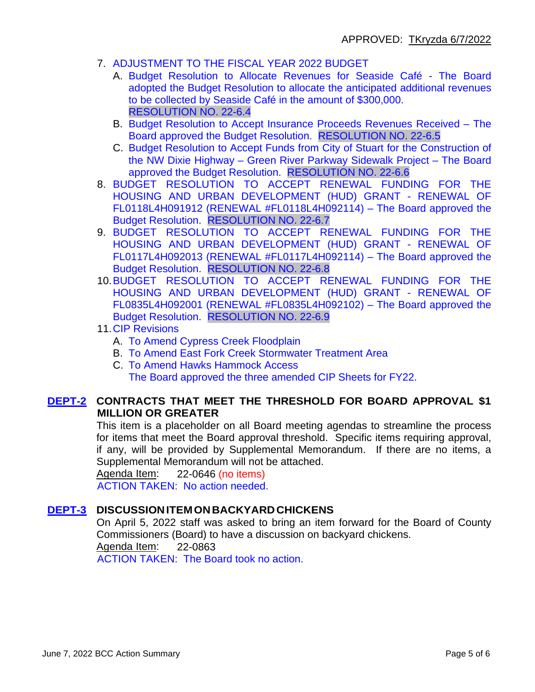- 7. ADJUSTMENT TO THE FISCAL YEAR 2022 BUDGET
	- A. Budget Resolution to Allocate Revenues for Seaside Café The Board adopted the Budget Resolution to allocate the anticipated additional revenues to be collected by Seaside Café in the amount of \$300,000. RESOLUTION NO. 22-6.4
	- B. Budget Resolution to Accept Insurance Proceeds Revenues Received The Board approved the Budget Resolution. RESOLUTION NO. 22-6.5
	- C. Budget Resolution to Accept Funds from City of Stuart for the Construction of the NW Dixie Highway – Green River Parkway Sidewalk Project – The Board approved the Budget Resolution. RESOLUTION NO. 22-6.6
- 8. BUDGET RESOLUTION TO ACCEPT RENEWAL FUNDING FOR THE HOUSING AND URBAN DEVELOPMENT (HUD) GRANT - RENEWAL OF FL0118L4H091912 (RENEWAL #FL0118L4H092114) – The Board approved the Budget Resolution. RESOLUTION NO. 22-6.7
- 9. BUDGET RESOLUTION TO ACCEPT RENEWAL FUNDING FOR THE HOUSING AND URBAN DEVELOPMENT (HUD) GRANT - RENEWAL OF FL0117L4H092013 (RENEWAL #FL0117L4H092114) – The Board approved the Budget Resolution. RESOLUTION NO. 22-6.8
- 10.BUDGET RESOLUTION TO ACCEPT RENEWAL FUNDING FOR THE HOUSING AND URBAN DEVELOPMENT (HUD) GRANT - RENEWAL OF FL0835L4H092001 (RENEWAL #FL0835L4H092102) – The Board approved the Budget Resolution. RESOLUTION NO. 22-6.9
- 11.CIP Revisions
	- A. To Amend Cypress Creek Floodplain
	- B. To Amend East Fork Creek Stormwater Treatment Area
	- C. To Amend Hawks Hammock Access The Board approved the three amended CIP Sheets for FY22.

#### **DEPT-2 CONTRACTS THAT MEET THE THRESHOLD FOR BOARD APPROVAL \$1 MILLION OR GREATER**

This item is a placeholder on all Board meeting agendas to streamline the process for items that meet the Board approval threshold. Specific items requiring approval, if any, will be provided by Supplemental Memorandum. If there are no items, a Supplemental Memorandum will not be attached.

Agenda Item: 22-0646 (no items)

ACTION TAKEN: No action needed.

### **DEPT-3 DISCUSSIONITEMONBACKYARDCHICKENS**

On April 5, 2022 staff was asked to bring an item forward for the Board of County Commissioners (Board) to have a discussion on backyard chickens. Agenda Item: 22-0863

ACTION TAKEN: The Board took no action.